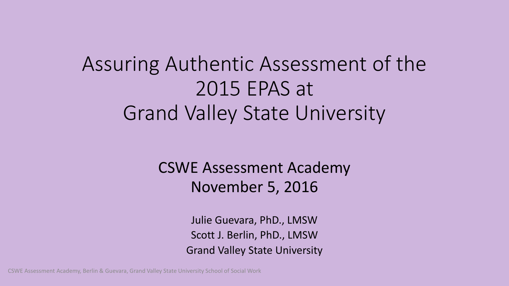### Assuring Authentic Assessment of the 2015 EPAS at Grand Valley State University

CSWE Assessment Academy November 5, 2016

> Julie Guevara, PhD., LMSW Scott J. Berlin, PhD., LMSW Grand Valley State University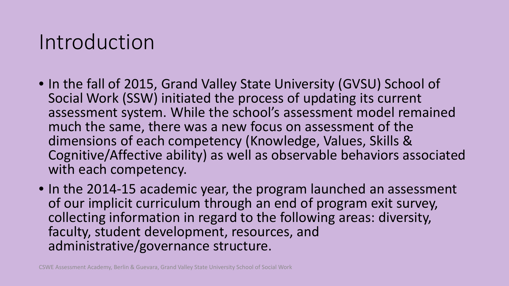#### Introduction

- In the fall of 2015, Grand Valley State University (GVSU) School of Social Work (SSW) initiated the process of updating its current assessment system. While the school's assessment model remained much the same, there was a new focus on assessment of the dimensions of each competency (Knowledge, Values, Skills & Cognitive/Affective ability) as well as observable behaviors associated with each competency.
- In the 2014-15 academic year, the program launched an assessment of our implicit curriculum through an end of program exit survey, collecting information in regard to the following areas: diversity, faculty, student development, resources, and administrative/governance structure.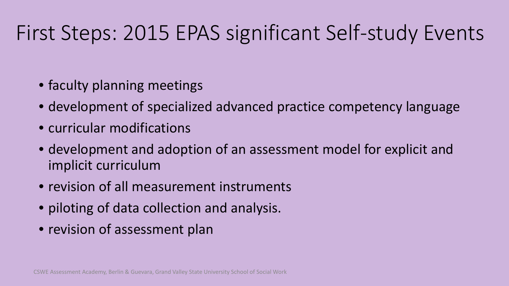## First Steps: 2015 EPAS significant Self-study Events

- faculty planning meetings
- development of specialized advanced practice competency language
- curricular modifications
- development and adoption of an assessment model for explicit and implicit curriculum
- revision of all measurement instruments
- piloting of data collection and analysis.
- revision of assessment plan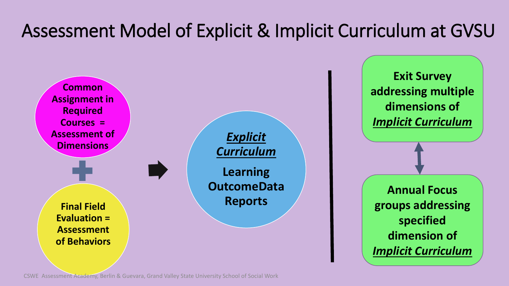#### Assessment Model of Explicit & Implicit Curriculum at GVSU

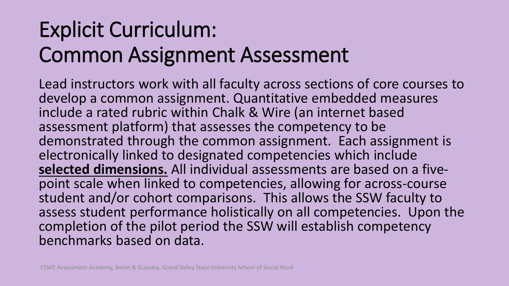# Explicit Curriculum: Common Assignment Assessment

Lead instructors work with all faculty across sections of core courses to develop a common assignment. Quantitative embedded measures include a rated rubric within Chalk & Wire (an internet based assessment platform) that assesses the competency to be demonstrated through the common assignment. Each assignment is electronically linked to designated competencies which include<br>selected dimensions. All individual assessments are based on a fivepoint scale when linked to competencies, allowing for across-course student and/or cohort comparisons. This allows the SSW faculty to assess student performance holistically on all competencies. Upon the completion of the pilot period the SSW will establish competency benchmarks based on data.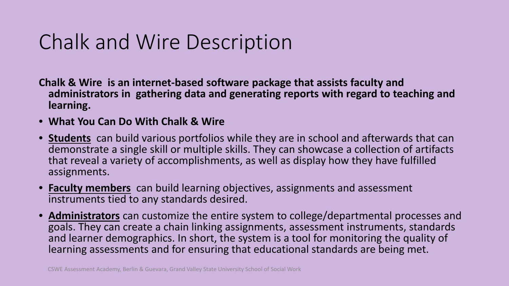### Chalk and Wire Description

- **Chalk & Wire is an internet-based software package that assists faculty and administrators in gathering data and generating reports with regard to teaching and learning.**
- **What You Can Do With Chalk & Wire**
- **Students** can build various portfolios while they are in school and afterwards that can demonstrate a single skill or multiple skills. They can showcase a collection of artifacts that reveal a variety of accomplishments, as well as display how they have fulfilled assignments.
- **Faculty members** can build learning objectives, assignments and assessment instruments tied to any standards desired.
- **Administrators** can customize the entire system to college/departmental processes and goals. They can create a chain linking assignments, assessment instruments, standards and learner demographics. In short, the system is a tool for monitoring the quality of learning assessments and for ensuring that educational standards are being met.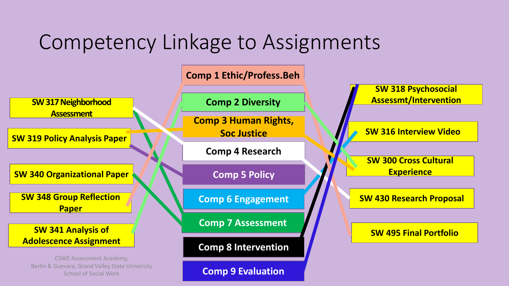### Competency Linkage to Assignments



**Comp 9 Evaluation**

School of Social Work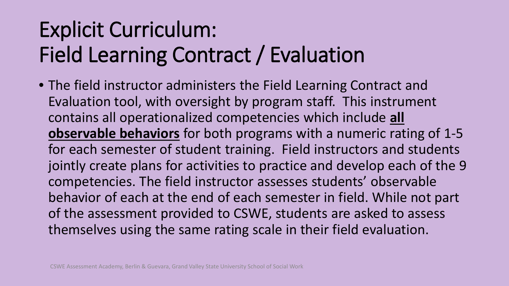# Explicit Curriculum: Field Learning Contract / Evaluation

• The field instructor administers the Field Learning Contract and Evaluation tool, with oversight by program staff. This instrument contains all operationalized competencies which include **all observable behaviors** for both programs with a numeric rating of 1-5 for each semester of student training. Field instructors and students jointly create plans for activities to practice and develop each of the 9 competencies. The field instructor assesses students' observable behavior of each at the end of each semester in field. While not part of the assessment provided to CSWE, students are asked to assess themselves using the same rating scale in their field evaluation.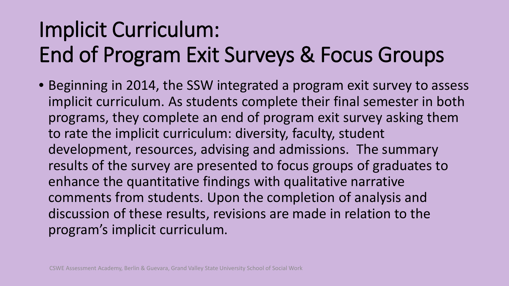# Implicit Curriculum: End of Program Exit Surveys & Focus Groups

• Beginning in 2014, the SSW integrated a program exit survey to assess implicit curriculum. As students complete their final semester in both programs, they complete an end of program exit survey asking them to rate the implicit curriculum: diversity, faculty, student development, resources, advising and admissions. The summary results of the survey are presented to focus groups of graduates to enhance the quantitative findings with qualitative narrative comments from students. Upon the completion of analysis and discussion of these results, revisions are made in relation to the program's implicit curriculum.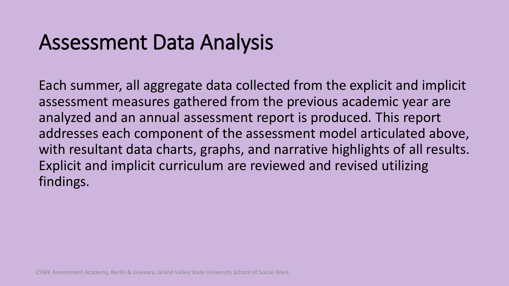#### Assessment Data Analysis

Each summer, all aggregate data collected from the explicit and implicit assessment measures gathered from the previous academic year are analyzed and an annual assessment report is produced. This report addresses each component of the assessment model articulated above, with resultant data charts, graphs, and narrative highlights of all results. Explicit and implicit curriculum are reviewed and revised utilizing findings.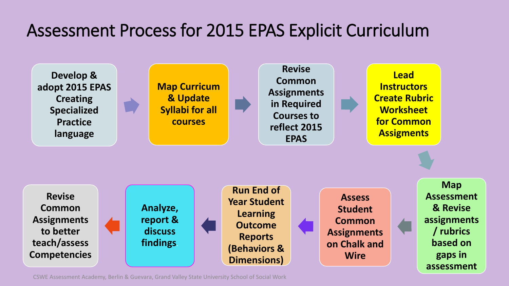#### Assessment Process for 2015 EPAS Explicit Curriculum